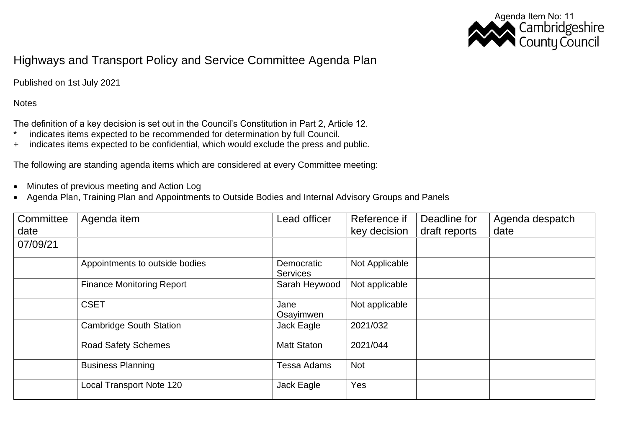

## Highways and Transport Policy and Service Committee Agenda Plan

Published on 1st July 2021

**Notes** 

The definition of a key decision is set out in the Council's Constitution in Part 2, Article 12.

- \* indicates items expected to be recommended for determination by full Council.
- + indicates items expected to be confidential, which would exclude the press and public.

The following are standing agenda items which are considered at every Committee meeting:

- Minutes of previous meeting and Action Log
- Agenda Plan, Training Plan and Appointments to Outside Bodies and Internal Advisory Groups and Panels

| Committee<br>date | Agenda item                      | Lead officer                  | Reference if<br>key decision | Deadline for<br>draft reports | Agenda despatch<br>date |
|-------------------|----------------------------------|-------------------------------|------------------------------|-------------------------------|-------------------------|
| 07/09/21          |                                  |                               |                              |                               |                         |
|                   |                                  |                               |                              |                               |                         |
|                   | Appointments to outside bodies   | Democratic<br><b>Services</b> | Not Applicable               |                               |                         |
|                   | <b>Finance Monitoring Report</b> | Sarah Heywood                 | Not applicable               |                               |                         |
|                   | <b>CSET</b>                      | Jane<br>Osayimwen             | Not applicable               |                               |                         |
|                   | <b>Cambridge South Station</b>   | Jack Eagle                    | 2021/032                     |                               |                         |
|                   | <b>Road Safety Schemes</b>       | <b>Matt Staton</b>            | 2021/044                     |                               |                         |
|                   | <b>Business Planning</b>         | <b>Tessa Adams</b>            | <b>Not</b>                   |                               |                         |
|                   | <b>Local Transport Note 120</b>  | Jack Eagle                    | Yes                          |                               |                         |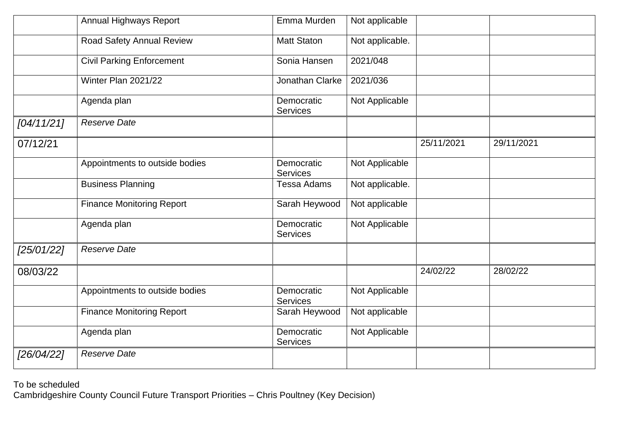|            | Annual Highways Report           | Emma Murden                   | Not applicable  |            |            |
|------------|----------------------------------|-------------------------------|-----------------|------------|------------|
|            | Road Safety Annual Review        | <b>Matt Staton</b>            | Not applicable. |            |            |
|            | <b>Civil Parking Enforcement</b> | Sonia Hansen                  | 2021/048        |            |            |
|            | Winter Plan 2021/22              | Jonathan Clarke               | 2021/036        |            |            |
|            | Agenda plan                      | Democratic<br><b>Services</b> | Not Applicable  |            |            |
| [04/11/21] | <b>Reserve Date</b>              |                               |                 |            |            |
| 07/12/21   |                                  |                               |                 | 25/11/2021 | 29/11/2021 |
|            | Appointments to outside bodies   | Democratic<br><b>Services</b> | Not Applicable  |            |            |
|            | <b>Business Planning</b>         | <b>Tessa Adams</b>            | Not applicable. |            |            |
|            | <b>Finance Monitoring Report</b> | Sarah Heywood                 | Not applicable  |            |            |
|            | Agenda plan                      | Democratic<br><b>Services</b> | Not Applicable  |            |            |
| [25/01/22] | <b>Reserve Date</b>              |                               |                 |            |            |
| 08/03/22   |                                  |                               |                 | 24/02/22   | 28/02/22   |
|            | Appointments to outside bodies   | Democratic<br><b>Services</b> | Not Applicable  |            |            |
|            | <b>Finance Monitoring Report</b> | Sarah Heywood                 | Not applicable  |            |            |
|            | Agenda plan                      | Democratic<br><b>Services</b> | Not Applicable  |            |            |
| [26/04/22] | <b>Reserve Date</b>              |                               |                 |            |            |

To be scheduled Cambridgeshire County Council Future Transport Priorities – Chris Poultney (Key Decision)